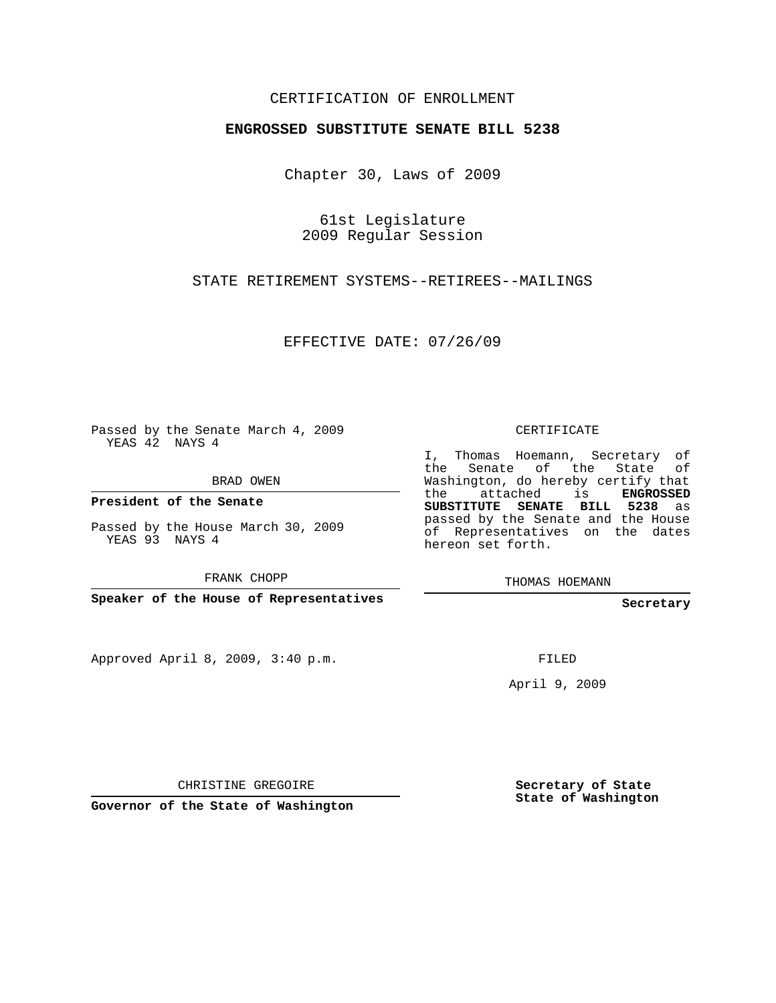## CERTIFICATION OF ENROLLMENT

## **ENGROSSED SUBSTITUTE SENATE BILL 5238**

Chapter 30, Laws of 2009

61st Legislature 2009 Regular Session

STATE RETIREMENT SYSTEMS--RETIREES--MAILINGS

EFFECTIVE DATE: 07/26/09

Passed by the Senate March 4, 2009 YEAS 42 NAYS 4

BRAD OWEN

**President of the Senate**

Passed by the House March 30, 2009 YEAS 93 NAYS 4

FRANK CHOPP

**Speaker of the House of Representatives**

Approved April 8, 2009, 3:40 p.m.

CERTIFICATE

I, Thomas Hoemann, Secretary of the Senate of the State of Washington, do hereby certify that the attached is **ENGROSSED SUBSTITUTE SENATE BILL 5238** as passed by the Senate and the House of Representatives on the dates hereon set forth.

THOMAS HOEMANN

**Secretary**

FILED

April 9, 2009

CHRISTINE GREGOIRE

**Governor of the State of Washington**

**Secretary of State State of Washington**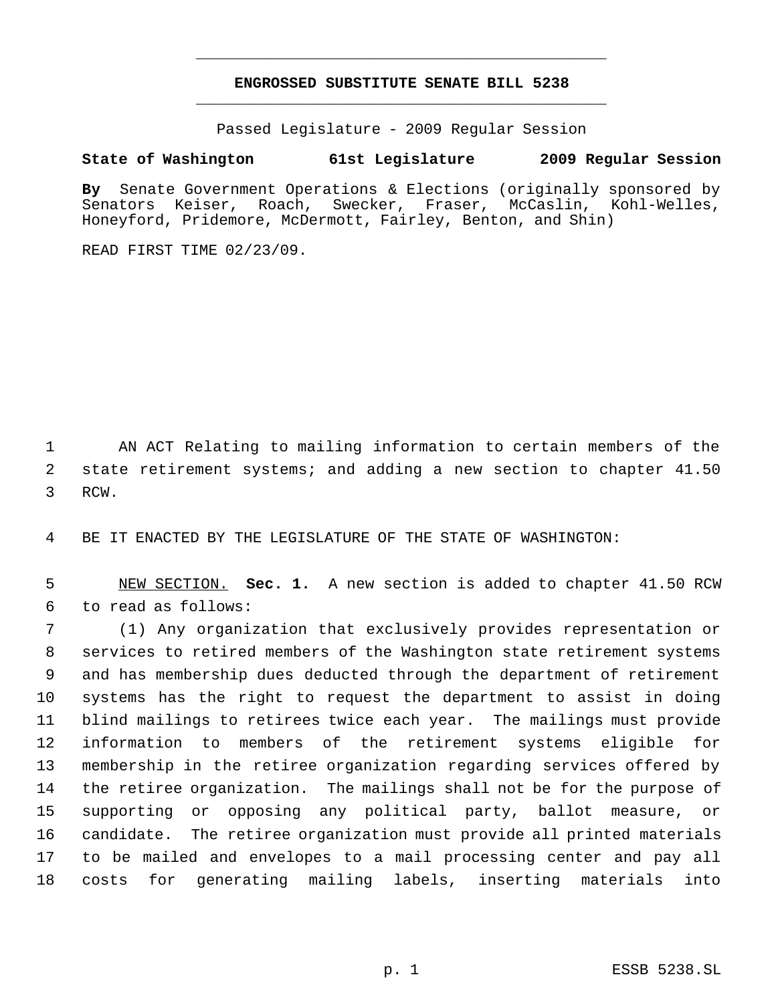## **ENGROSSED SUBSTITUTE SENATE BILL 5238** \_\_\_\_\_\_\_\_\_\_\_\_\_\_\_\_\_\_\_\_\_\_\_\_\_\_\_\_\_\_\_\_\_\_\_\_\_\_\_\_\_\_\_\_\_

\_\_\_\_\_\_\_\_\_\_\_\_\_\_\_\_\_\_\_\_\_\_\_\_\_\_\_\_\_\_\_\_\_\_\_\_\_\_\_\_\_\_\_\_\_

Passed Legislature - 2009 Regular Session

## **State of Washington 61st Legislature 2009 Regular Session**

By Senate Government Operations & Elections (originally sponsored by Senators Keiser, Roach, Swecker, Fraser, McCaslin, Kohl-Welles, Senators Keiser, Roach, Swecker, Fraser, McCaslin, Kohl-Welles, Honeyford, Pridemore, McDermott, Fairley, Benton, and Shin)

READ FIRST TIME 02/23/09.

 AN ACT Relating to mailing information to certain members of the state retirement systems; and adding a new section to chapter 41.50 RCW.

BE IT ENACTED BY THE LEGISLATURE OF THE STATE OF WASHINGTON:

 NEW SECTION. **Sec. 1.** A new section is added to chapter 41.50 RCW to read as follows:

 (1) Any organization that exclusively provides representation or services to retired members of the Washington state retirement systems and has membership dues deducted through the department of retirement systems has the right to request the department to assist in doing blind mailings to retirees twice each year. The mailings must provide information to members of the retirement systems eligible for membership in the retiree organization regarding services offered by the retiree organization. The mailings shall not be for the purpose of supporting or opposing any political party, ballot measure, or candidate. The retiree organization must provide all printed materials to be mailed and envelopes to a mail processing center and pay all costs for generating mailing labels, inserting materials into